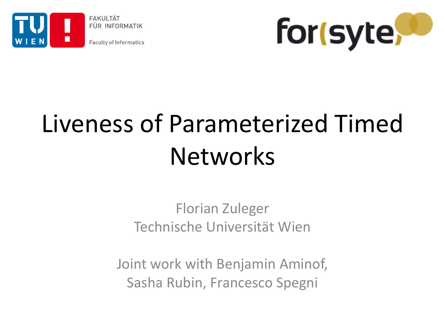

**FAKULTÄT** FÜR INFORMATIK

**Faculty of Informatics** 



# Liveness of Parameterized Timed Networks

#### Florian Zuleger Technische Universität Wien

Joint work with Benjamin Aminof, Sasha Rubin, Francesco Spegni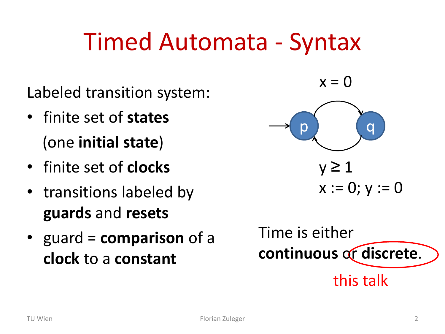### Timed Automata - Syntax

Labeled transition system:

- finite set of **states** (one **initial state**)
- finite set of **clocks**
- transitions labeled by **guards** and **resets**
- guard = **comparison** of a **clock** to a **constant**

 $x = 0$ 



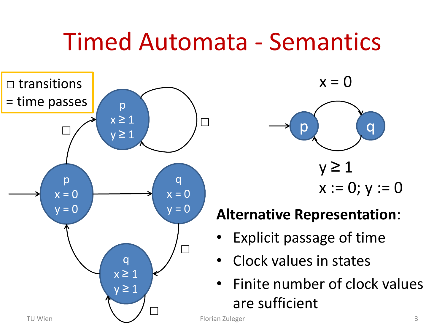### Timed Automata - Semantics



 $x = 0$ 



#### **Alternative Representation**:

- Explicit passage of time
- Clock values in states
- Finite number of clock values are sufficient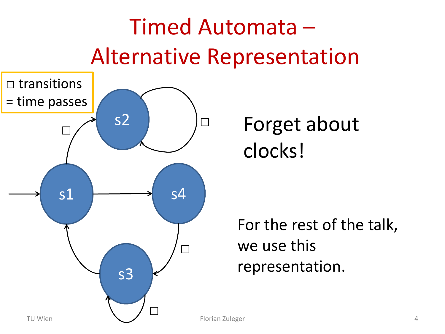### Timed Automata – Alternative Representation



### Forget about clocks!

For the rest of the talk, we use this representation.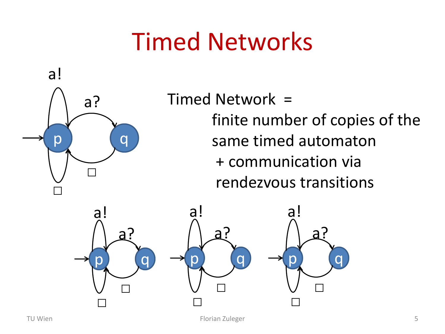

Timed Network = finite number of copies of the same timed automaton + communication via rendezvous transitions

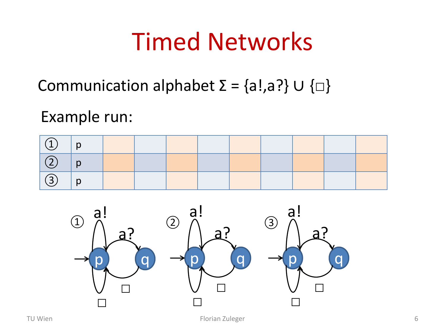Communication alphabet  $\Sigma = \{a!, a?\} \cup \{\Box\}$ 

Example run:





TU Wien 6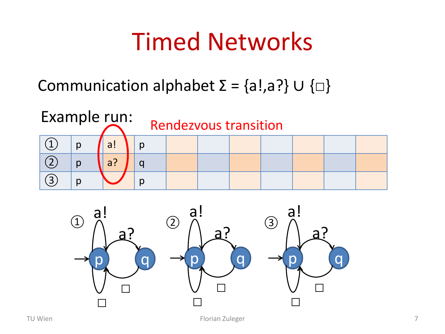Communication alphabet  $\Sigma = \{a!, a?\} \cup \{\Box\}$ 



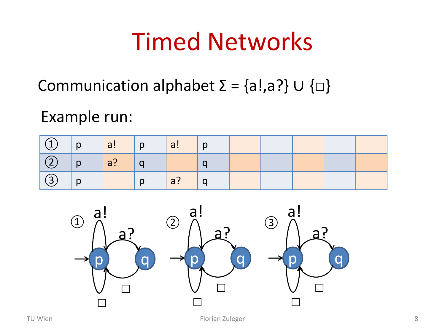Communication alphabet  $\Sigma = \{a!, a?\} \cup \{\Box\}$ 

Example run:

| $\vert$ $\begin{pmatrix} 1 \\ 1 \end{pmatrix}$ $\vert$ p $\vert$ a! $\vert$ p $\vert$ |  | $\sqrt{al}$   p |  |  |  |
|---------------------------------------------------------------------------------------|--|-----------------|--|--|--|
| $\boxed{2}$ p a? q                                                                    |  |                 |  |  |  |
| $\left(3\right)$   p                                                                  |  | a? q            |  |  |  |



TU Wien 8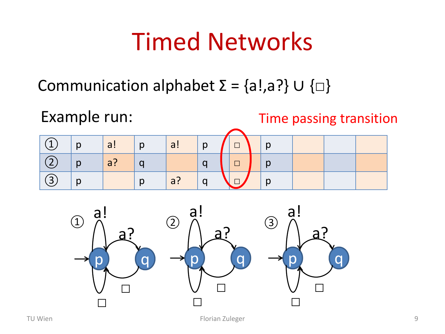Communication alphabet  $\Sigma = \{a!, a?\} \cup \{\Box\}$ 





TU Wien Florian Zuleger 9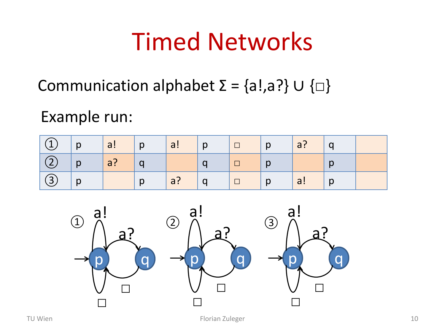Communication alphabet  $\Sigma = \{a!, a?\} \cup \{\Box\}$ 

Example run:

| $\boxed{0}$ $p$ $a!$ $p$ |                                        | a! p                                   |                                                                                                               |  |  |
|--------------------------|----------------------------------------|----------------------------------------|---------------------------------------------------------------------------------------------------------------|--|--|
| $\big  \bigcirc \big  p$ | $\begin{vmatrix} a? & q \end{vmatrix}$ |                                        | $\Box$   p                                                                                                    |  |  |
| $\big  \bigcirc \big  p$ | $\Box$ p                               | $\begin{vmatrix} a? & q \end{vmatrix}$ | $\begin{array}{ c c c c c }\hline \quad & \quad & \mathsf{p} & \mathsf{a!} & \mathsf{p} \\\hline \end{array}$ |  |  |



TU Wien 10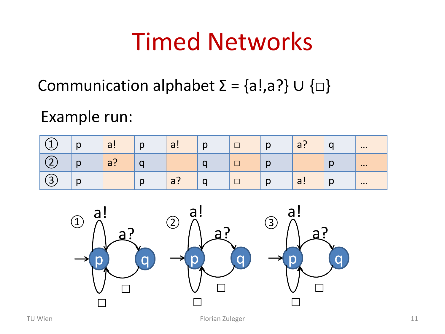Communication alphabet  $\Sigma = \{a!, a?\} \cup \{\Box\}$ 

Example run:

| $\overline{\phantom{a}}$ | $\mathsf{D}$ | $\bigcap$<br>a: | $\mathsf{D}$ | $\overline{\phantom{0}}$<br>a:  | p | $\Box$ | n<br>N        | $\sim$<br>a: |        | $\bullet\bullet\bullet$ |
|--------------------------|--------------|-----------------|--------------|---------------------------------|---|--------|---------------|--------------|--------|-------------------------|
| ∽                        | $\mathsf{D}$ | $\bigcap$<br>a: |              |                                 |   |        | $\sim$<br>ຶ   |              | $\sim$ | $\bullet\bullet\bullet$ |
| ┑<br>ٮ                   | n<br>N       |                 | $\mathsf{D}$ | $\overline{\phantom{0}}$<br>a : | U |        | n<br><u>N</u> | a!           | Ŋ      | $\bullet\bullet\bullet$ |

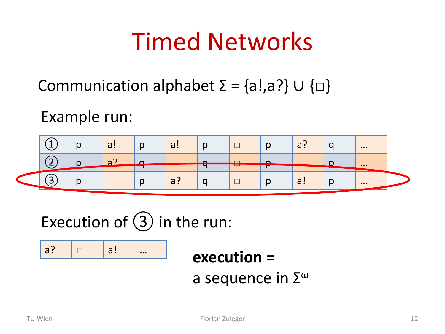Communication alphabet  $\Sigma = \{a!, a?\} \cup \{\Box\}$ 

Example run:



Execution of  $(3)$  in the run:

a? **□** a! …

**execution** =

a sequence in  $\Sigma^\omega$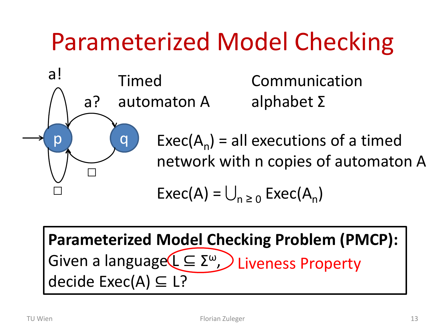## Parameterized Model Checking



alphabet Σ

 $Exec(A_n) = all$  executions of a timed network with n copies of automaton A

$$
Exec(A) = \bigcup_{n \geq 0} Excel(A_n)
$$

**Parameterized Model Checking Problem (PMCP):** Given a language(L ⊆ Σ<sup>ω</sup>, D Liveness Property decide Exec(A) ⊆ L?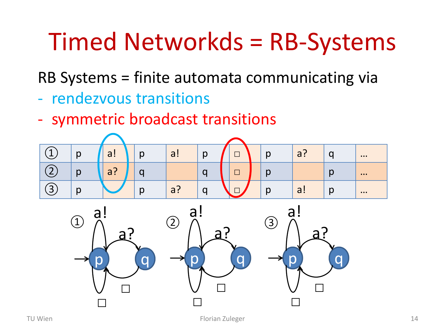### Timed Networkds = RB-Systems

RB Systems = finite automata communicating via

- rendezvous transitions
- symmetric broadcast transitions



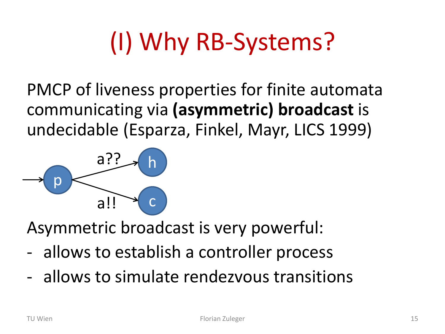# (I) Why RB-Systems?

PMCP of liveness properties for finite automata communicating via **(asymmetric) broadcast** is undecidable (Esparza, Finkel, Mayr, LICS 1999)



Asymmetric broadcast is very powerful:

- allows to establish a controller process
- allows to simulate rendezvous transitions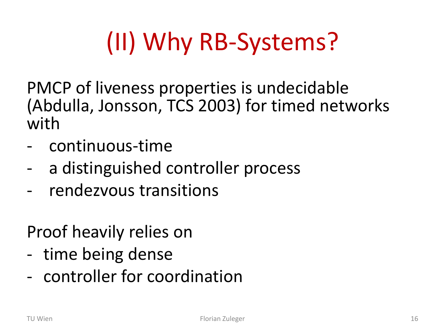# (II) Why RB-Systems?

PMCP of liveness properties is undecidable (Abdulla, Jonsson, TCS 2003) for timed networks with

- continuous-time
- a distinguished controller process
- rendezvous transitions

Proof heavily relies on

- time being dense
- controller for coordination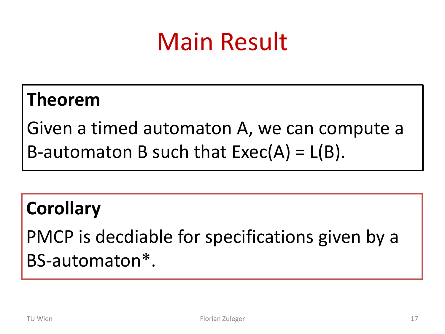### Main Result

### **Theorem**

Given a timed automaton A, we can compute a B-automaton B such that  $Exec(A) = L(B)$ .

### **Corollary**

PMCP is decdiable for specifications given by a BS-automaton\*.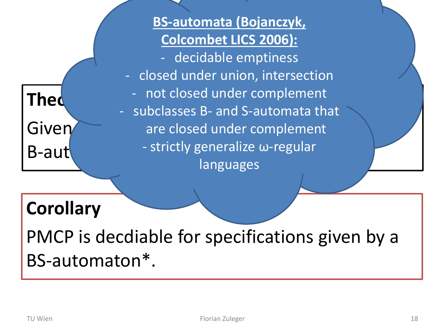### **Thed**

**Colcombet LICS 2006):**<br>Colcoidable amptiness Given are closed under complement B-automaton B such that Exec(A) = L(B). - strictly generalize ω-regular **BS-automata (Bojanczyk,**  - decidable emptiness - closed under union, intersection - not closed under complement - subclasses B- and S-automata that languages

### **Corollary**

PMCP is decdiable for specifications given by a BS-automaton\*.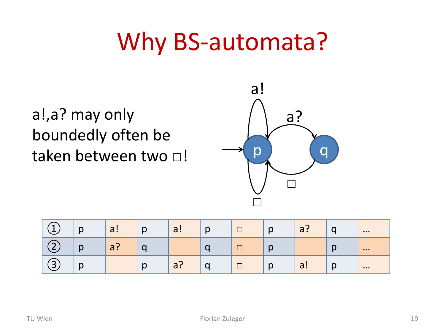### Why BS-automata?

a!,a? may only boundedly often be taken between two □!



| $\overline{\phantom{a}}$      | $\sqrt{ }$<br>N | a!          | n<br>N | $\overline{\phantom{0}}$<br>u . | $\sim$ | ⊓      | p            | a! | ∼<br>ч      | $\bullet\bullet\bullet$   |
|-------------------------------|-----------------|-------------|--------|---------------------------------|--------|--------|--------------|----|-------------|---------------------------|
| $\blacksquare$                | n<br>N          | ◠<br>∽<br>u |        |                                 |        |        | ~            |    | $\sim$<br>N | $\bullet\bullet\bullet$   |
| $\overline{\phantom{0}}$<br>ັ | $\sim$<br>N     |             | N      | $\sim$<br>u :                   | ີ      | $\Box$ | $\mathsf{D}$ | a! | $\sim$<br>N | $\bullet \bullet \bullet$ |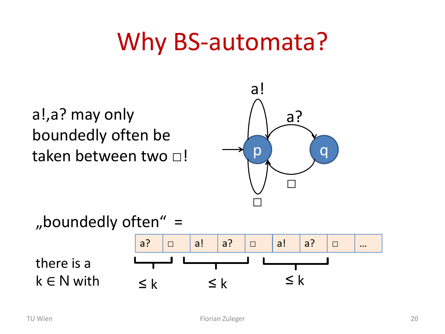### Why BS-automata?

a!,a? may only boundedly often be taken between two □!



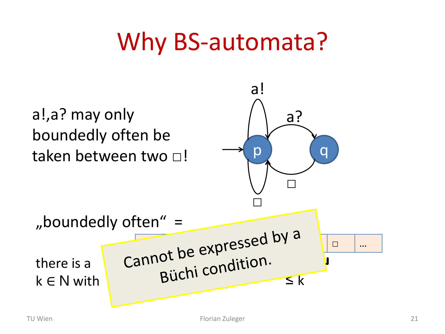### Why BS-automata?

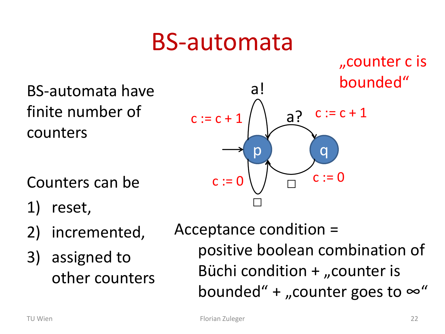### BS-automata

"counter c is bounded"

BS-automata have finite number of counters

Counters can be

- 1) reset,
- 2) incremented,
- 3) assigned to other counters

Acceptance condition = positive boolean combination of Büchi condition  $+$  "counter is bounded" + "counter goes to  $\infty$ "

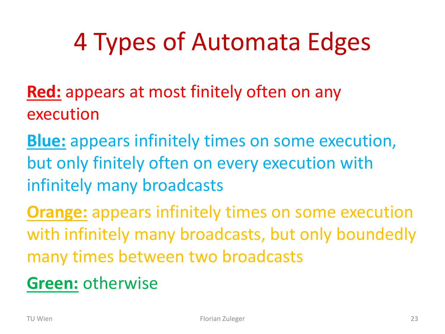## 4 Types of Automata Edges

- **Red:** appears at most finitely often on any execution
- **Blue:** appears infinitely times on some execution, but only finitely often on every execution with infinitely many broadcasts
- **Orange:** appears infinitely times on some execution with infinitely many broadcasts, but only boundedly many times between two broadcasts
- **Green:** otherwise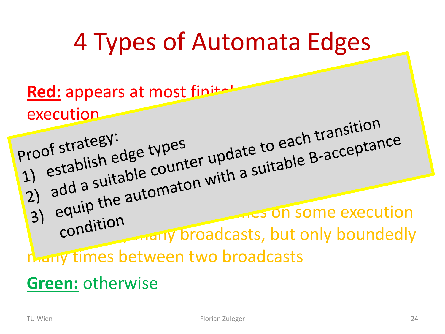### 4 Types of Automata Edges

Red: appears at most finitely execution

appliest trategy:<br>appear on the to each training  $\frac{100}{100}$  ostablish euse of unter upper suitable B-accession  $\frac{11}{21}$  add a sultable comaton Will 3) equipments on some execution condition. Condition many times between two broadcasts

### **Green:** otherwise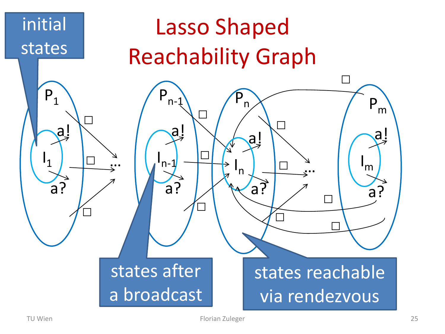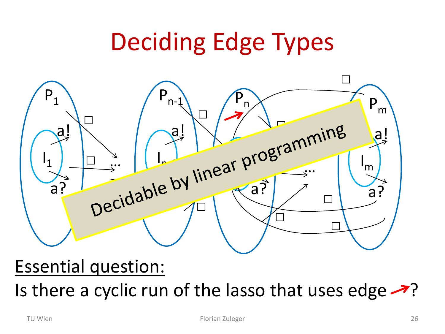### Deciding Edge Types



### Essential question:

Is there a cyclic run of the lasso that uses edge  $\rightarrow$ ?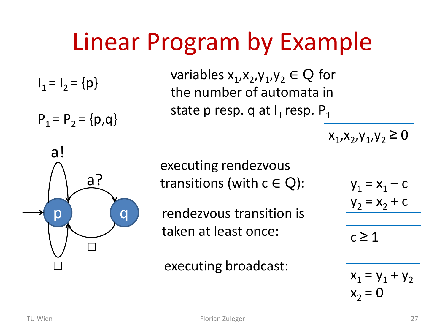## Linear Program by Example

 $I_1 = I_2 = \{p\}$ 

 $P_1 = P_2 = \{p,q\}$ 

variables  $x_1, x_2, y_1, y_2 \in Q$  for the number of automata in state p resp. q at  $I_1$  resp.  $P_1$ 

 $x_1, x_2, y_1, y_2 \ge 0$ 



executing rendezvous transitions (with  $c \in Q$ ):

rendezvous transition is taken at least once:

executing broadcast:

$$
\begin{cases} \mathsf{y}_1 = \mathsf{x}_1 - \mathsf{c} \\ \mathsf{y}_2 = \mathsf{x}_2 + \mathsf{c} \end{cases}
$$

$$
c\geq 1
$$

$$
\begin{aligned}\n\overline{x_1} &= y_1 + y_2\\ \n\overline{x_2} &= 0\n\end{aligned}
$$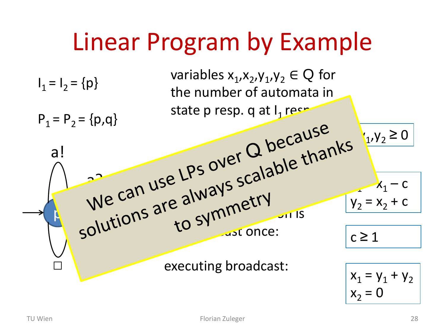## Linear Program by Example

 $\mathbf{p}$   $\mathbf{v}$ □ a? a!  $I_1 = I_2 = {p}$  $P_1 = P_2 = \{p,q\}$ variables  $x_1, x_2, y_1, y_2 \in Q$  for the number of automata in state p resp. q at  $I_1$  respective  $PSS^{OVEV}$  $5e<sup>L</sup>$ <sub>1.12</sub> $\sqrt{5}$   $5e<sup>0</sup>$ executing broadcast:  $\frac{10}{100}$  symmetry  $\frac{100}{100}$ to ... ast once:

$$
x_1 = y_1 + y_2
$$
  

$$
x_2 = 0
$$

 $y_1, y_2 \ge 0$ 

 $x_1 - c$ 

 $y_2 = x_2 + c$ 

 $c \geq 1$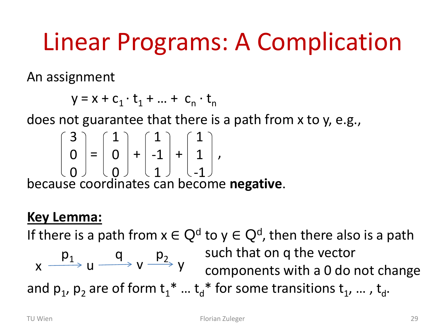### Linear Programs: A Complication

An assignment

$$
y = x + c_1 \cdot t_1 + \dots + c_n \cdot t_n
$$

does not guarantee that there is a path from x to y, e.g.,

$$
\begin{bmatrix} 3 \\ 0 \\ 0 \end{bmatrix} = \begin{bmatrix} 1 \\ 0 \\ 0 \end{bmatrix} + \begin{bmatrix} 1 \\ -1 \\ 1 \end{bmatrix} + \begin{bmatrix} 1 \\ 1 \\ -1 \end{bmatrix},
$$

because coordinates can become **negative**.

#### **Key Lemma:**

If there is a path from  $x \in Q^d$  to  $y \in Q^d$ , then there also is a path

such that on q the vector  $x \xrightarrow{p_1} u \xrightarrow{p_2} v \xrightarrow{p_3} y$  components with a 0 do not change and  $p_1$ ,  $p_2$  are of form  $t_1^*$  ...  $t_d^*$  for some transitions  $t_1$ , ... ,  $t_d$ .  $p_1$  q  $p_2$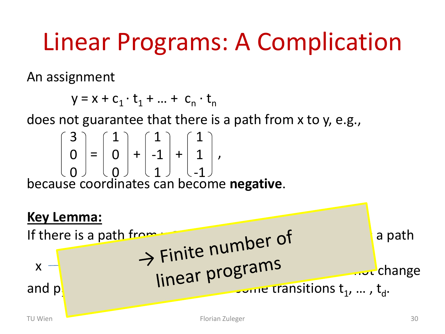### Linear Programs: A Complication

An assignment

$$
y = x + c_1 \cdot t_1 + \dots + c_n \cdot t_n
$$

does not guarantee that there is a path from x to y, e.g.,

$$
\begin{pmatrix} 3 \\ 0 \\ 0 \end{pmatrix} = \begin{pmatrix} 1 \\ 0 \\ 0 \end{pmatrix} + \begin{pmatrix} 1 \\ -1 \\ 1 \end{pmatrix} + \begin{pmatrix} 1 \\ 1 \\ -1 \end{pmatrix},
$$

because coordinates can become **negative**.